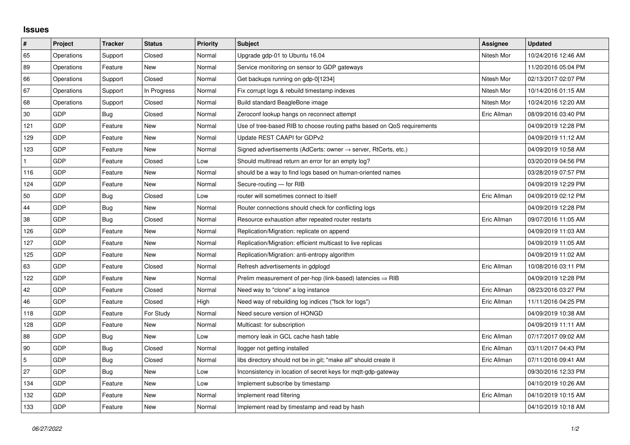## **Issues**

| $\vert$ #      | Project    | <b>Tracker</b> | <b>Status</b> | <b>Priority</b> | <b>Subject</b>                                                             | Assignee    | <b>Updated</b>      |
|----------------|------------|----------------|---------------|-----------------|----------------------------------------------------------------------------|-------------|---------------------|
| 65             | Operations | Support        | Closed        | Normal          | Upgrade gdp-01 to Ubuntu 16.04                                             | Nitesh Mor  | 10/24/2016 12:46 AM |
| 89             | Operations | Feature        | New           | Normal          | Service monitoring on sensor to GDP gateways                               |             | 11/20/2016 05:04 PM |
| 66             | Operations | Support        | Closed        | Normal          | Get backups running on gdp-0[1234]                                         | Nitesh Mor  | 02/13/2017 02:07 PM |
| 67             | Operations | Support        | In Progress   | Normal          | Fix corrupt logs & rebuild timestamp indexes                               | Nitesh Mor  | 10/14/2016 01:15 AM |
| 68             | Operations | Support        | Closed        | Normal          | Build standard BeagleBone image                                            | Nitesh Mor  | 10/24/2016 12:20 AM |
| $30\,$         | GDP        | <b>Bug</b>     | Closed        | Normal          | Zeroconf lookup hangs on reconnect attempt                                 | Eric Allman | 08/09/2016 03:40 PM |
| 121            | GDP        | Feature        | New           | Normal          | Use of tree-based RIB to choose routing paths based on QoS requirements    |             | 04/09/2019 12:28 PM |
| 129            | GDP        | Feature        | New           | Normal          | Update REST CAAPI for GDPv2                                                |             | 04/09/2019 11:12 AM |
| 123            | GDP        | Feature        | New           | Normal          | Signed advertisements (AdCerts: owner $\rightarrow$ server, RtCerts, etc.) |             | 04/09/2019 10:58 AM |
| $\mathbf{1}$   | GDP        | Feature        | Closed        | Low             | Should multiread return an error for an empty log?                         |             | 03/20/2019 04:56 PM |
| 116            | GDP        | Feature        | <b>New</b>    | Normal          | should be a way to find logs based on human-oriented names                 |             | 03/28/2019 07:57 PM |
| 124            | GDP        | Feature        | New           | Normal          | Secure-routing - for RIB                                                   |             | 04/09/2019 12:29 PM |
| 50             | GDP        | Bug            | Closed        | Low             | router will sometimes connect to itself                                    | Eric Allman | 04/09/2019 02:12 PM |
| 44             | GDP        | Bug            | New           | Normal          | Router connections should check for conflicting logs                       |             | 04/09/2019 12:28 PM |
| 38             | GDP        | Bug            | Closed        | Normal          | Resource exhaustion after repeated router restarts                         | Eric Allman | 09/07/2016 11:05 AM |
| 126            | GDP        | Feature        | New           | Normal          | Replication/Migration: replicate on append                                 |             | 04/09/2019 11:03 AM |
| 127            | GDP        | Feature        | New           | Normal          | Replication/Migration: efficient multicast to live replicas                |             | 04/09/2019 11:05 AM |
| 125            | GDP        | Feature        | New           | Normal          | Replication/Migration: anti-entropy algorithm                              |             | 04/09/2019 11:02 AM |
| 63             | GDP        | Feature        | Closed        | Normal          | Refresh advertisements in gdplogd                                          | Eric Allman | 10/08/2016 03:11 PM |
| 122            | GDP        | Feature        | New           | Normal          | Prelim measurement of per-hop (link-based) latencies $\Rightarrow$ RIB     |             | 04/09/2019 12:28 PM |
| 42             | GDP        | Feature        | Closed        | Normal          | Need way to "clone" a log instance                                         | Eric Allman | 08/23/2016 03:27 PM |
| 46             | GDP        | Feature        | Closed        | High            | Need way of rebuilding log indices ("fsck for logs")                       | Eric Allman | 11/11/2016 04:25 PM |
| 118            | GDP        | Feature        | For Study     | Normal          | Need secure version of HONGD                                               |             | 04/09/2019 10:38 AM |
| 128            | GDP        | Feature        | New           | Normal          | Multicast: for subscription                                                |             | 04/09/2019 11:11 AM |
| 88             | GDP        | Bug            | <b>New</b>    | Low             | memory leak in GCL cache hash table                                        | Eric Allman | 07/17/2017 09:02 AM |
| 90             | GDP        | Bug            | Closed        | Normal          | llogger not getting installed                                              | Eric Allman | 03/11/2017 04:43 PM |
| $\overline{5}$ | GDP        | Bug            | Closed        | Normal          | libs directory should not be in git; "make all" should create it           | Eric Allman | 07/11/2016 09:41 AM |
| 27             | GDP        | <b>Bug</b>     | <b>New</b>    | Low             | Inconsistency in location of secret keys for mqtt-gdp-gateway              |             | 09/30/2016 12:33 PM |
| 134            | GDP        | Feature        | New           | Low             | Implement subscribe by timestamp                                           |             | 04/10/2019 10:26 AM |
| 132            | GDP        | Feature        | New           | Normal          | Implement read filtering                                                   | Eric Allman | 04/10/2019 10:15 AM |
| 133            | GDP        | Feature        | <b>New</b>    | Normal          | Implement read by timestamp and read by hash                               |             | 04/10/2019 10:18 AM |